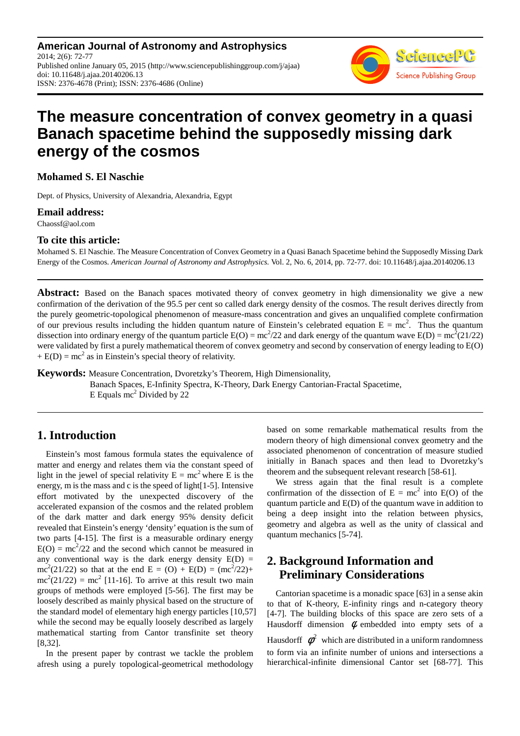**American Journal of Astronomy and Astrophysics** 2014; 2(6): 72-77 Published online January 05, 2015 (http://www.sciencepublishinggroup.com/j/ajaa) doi: 10.11648/j.ajaa.20140206.13 ISSN: 2376-4678 (Print); ISSN: 2376-4686 (Online)



# **The measure concentration of convex geometry in a quasi Banach spacetime behind the supposedly missing dark energy of the cosmos**

**Mohamed S. El Naschie** 

Dept. of Physics, University of Alexandria, Alexandria, Egypt

#### **Email address:**

Chaossf@aol.com

#### **To cite this article:**

Mohamed S. El Naschie. The Measure Concentration of Convex Geometry in a Quasi Banach Spacetime behind the Supposedly Missing Dark Energy of the Cosmos. *American Journal of Astronomy and Astrophysics.* Vol. 2, No. 6, 2014, pp. 72-77. doi: 10.11648/j.ajaa.20140206.13

**Abstract:** Based on the Banach spaces motivated theory of convex geometry in high dimensionality we give a new confirmation of the derivation of the 95.5 per cent so called dark energy density of the cosmos. The result derives directly from the purely geometric-topological phenomenon of measure-mass concentration and gives an unqualified complete confirmation of our previous results including the hidden quantum nature of Einstein's celebrated equation  $E = mc^2$ . Thus the quantum dissection into ordinary energy of the quantum particle  $E(O) = mc^2/22$  and dark energy of the quantum wave  $E(D) = mc^2(21/22)$ were validated by first a purely mathematical theorem of convex geometry and second by conservation of energy leading to E(O)  $+ E(D) = mc<sup>2</sup>$  as in Einstein's special theory of relativity.

**Keywords:** Measure Concentration, Dvoretzky's Theorem, High Dimensionality, Banach Spaces, E-Infinity Spectra, K-Theory, Dark Energy Cantorian-Fractal Spacetime, E Equals mc<sup>2</sup> Divided by 22

# **1. Introduction**

Einstein's most famous formula states the equivalence of matter and energy and relates them via the constant speed of light in the jewel of special relativity  $E = mc^2$  where E is the energy, m is the mass and c is the speed of light[1-5]. Intensive effort motivated by the unexpected discovery of the accelerated expansion of the cosmos and the related problem of the dark matter and dark energy 95% density deficit revealed that Einstein's energy 'density' equation is the sum of two parts [4-15]. The first is a measurable ordinary energy  $E(O) = mc^2/22$  and the second which cannot be measured in any conventional way is the dark energy density  $E(D) =$ mc<sup>2</sup>(21/22) so that at the end E = (O) + E(D) = (mc<sup>2</sup>/22)+  $mc^2(21/22) = mc^2$  [11-16]. To arrive at this result two main groups of methods were employed [5-56]. The first may be loosely described as mainly physical based on the structure of the standard model of elementary high energy particles [10,57] while the second may be equally loosely described as largely mathematical starting from Cantor transfinite set theory [8,32].

In the present paper by contrast we tackle the problem afresh using a purely topological-geometrical methodology

based on some remarkable mathematical results from the modern theory of high dimensional convex geometry and the associated phenomenon of concentration of measure studied initially in Banach spaces and then lead to Dvoretzky's theorem and the subsequent relevant research [58-61].

We stress again that the final result is a complete confirmation of the dissection of  $E = mc^2$  into  $E(O)$  of the quantum particle and E(D) of the quantum wave in addition to being a deep insight into the relation between physics, geometry and algebra as well as the unity of classical and quantum mechanics [5-74].

# **2. Background Information and Preliminary Considerations**

Cantorian spacetime is a monadic space [63] in a sense akin to that of K-theory, E-infinity rings and n-category theory [4-7]. The building blocks of this space are zero sets of a Hausdorff dimension  $\phi$  embedded into empty sets of a Hausdorff  $\phi^2$  which are distributed in a uniform randomness to form via an infinite number of unions and intersections a hierarchical-infinite dimensional Cantor set [68-77]. This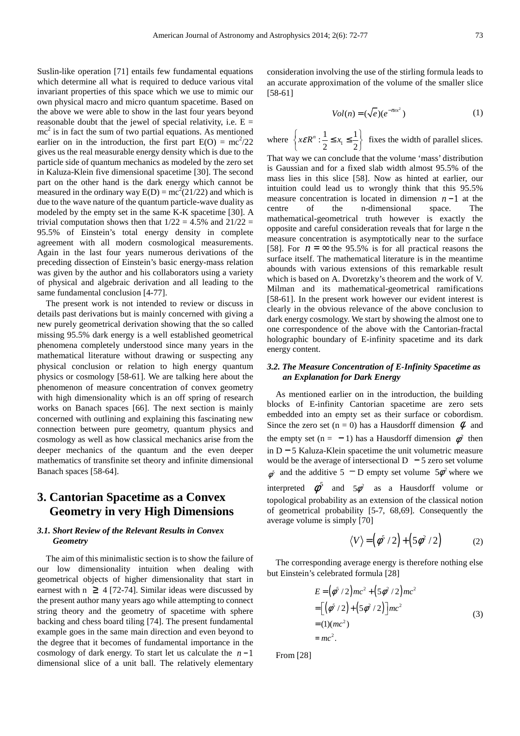Suslin-like operation [71] entails few fundamental equations which determine all what is required to deduce various vital invariant properties of this space which we use to mimic our own physical macro and micro quantum spacetime. Based on the above we were able to show in the last four years beyond reasonable doubt that the jewel of special relativity, i.e.  $E =$  $mc<sup>2</sup>$  is in fact the sum of two partial equations. As mentioned earlier on in the introduction, the first part  $E(O) = mc^2/22$ gives us the real measurable energy density which is due to the particle side of quantum mechanics as modeled by the zero set in Kaluza-Klein five dimensional spacetime [30]. The second part on the other hand is the dark energy which cannot be measured in the ordinary way  $E(D) = mc^2(21/22)$  and which is due to the wave nature of the quantum particle-wave duality as modeled by the empty set in the same K-K spacetime [30]. A trivial computation shows then that  $1/22 = 4.5\%$  and  $21/22 =$ 95.5% of Einstein's total energy density in complete agreement with all modern cosmological measurements. Again in the last four years numerous derivations of the preceding dissection of Einstein's basic energy-mass relation was given by the author and his collaborators using a variety of physical and algebraic derivation and all leading to the same fundamental conclusion [4-77].

The present work is not intended to review or discuss in details past derivations but is mainly concerned with giving a new purely geometrical derivation showing that the so called missing 95.5% dark energy is a well established geometrical phenomena completely understood since many years in the mathematical literature without drawing or suspecting any physical conclusion or relation to high energy quantum physics or cosmology [58-61]. We are talking here about the phenomenon of measure concentration of convex geometry with high dimensionality which is an off spring of research works on Banach spaces [66]. The next section is mainly concerned with outlining and explaining this fascinating new connection between pure geometry, quantum physics and cosmology as well as how classical mechanics arise from the deeper mechanics of the quantum and the even deeper mathematics of transfinite set theory and infinite dimensional Banach spaces [58-64].

# **3. Cantorian Spacetime as a Convex Geometry in very High Dimensions**

#### *3.1. Short Review of the Relevant Results in Convex Geometry*

The aim of this minimalistic section is to show the failure of our low dimensionality intuition when dealing with geometrical objects of higher dimensionality that start in earnest with  $n \geq 4$  [72-74]. Similar ideas were discussed by the present author many years ago while attempting to connect string theory and the geometry of spacetime with sphere backing and chess board tiling [74]. The present fundamental example goes in the same main direction and even beyond to the degree that it becomes of fundamental importance in the cosmology of dark energy. To start let us calculate the *n* −1 dimensional slice of a unit ball. The relatively elementary

consideration involving the use of the stirling formula leads to an accurate approximation of the volume of the smaller slice [58-61]

$$
Vol(n) = (\sqrt{e})(e^{-\pi e x^2})
$$
 (1)

where  $\left\{ x \in \mathbb{R}^n : \frac{1}{2} \le x_1 \le \frac{1}{2} \right\}$  fixes the width of parallel slices. That way we can conclude that the volume 'mass' distribution is Gaussian and for a fixed slab width almost 95.5% of the mass lies in this slice [58]. Now as hinted at earlier, our intuition could lead us to wrongly think that this 95.5% measure concentration is located in dimension  $n-1$  at the centre of the n-dimensional space. The centre of the n-dimensional space. The mathematical-geometrical truth however is exactly the opposite and careful consideration reveals that for large n the measure concentration is asymptotically near to the surface [58]. For  $n = \infty$  the 95.5% is for all practical reasons the surface itself. The mathematical literature is in the meantime abounds with various extensions of this remarkable result which is based on A. Dvoretzky's theorem and the work of V. Milman and its mathematical-geometrical ramifications [58-61]. In the present work however our evident interest is clearly in the obvious relevance of the above conclusion to dark energy cosmology. We start by showing the almost one to one correspondence of the above with the Cantorian-fractal holographic boundary of E-infinity spacetime and its dark energy content.

#### *3.2. The Measure Concentration of E-Infinity Spacetime as an Explanation for Dark Energy*

As mentioned earlier on in the introduction, the building blocks of E-infinity Cantorian spacetime are zero sets embedded into an empty set as their surface or cobordism. Since the zero set (n = 0) has a Hausdorff dimension  $\phi$  and the empty set (n = -1) has a Hausdorff dimension  $\phi^2$  then in D − 5 Kaluza-Klein spacetime the unit volumetric measure would be the average of intersectional D  $-5$  zero set volume  $\phi^5$  and the additive 5 <sup>-</sup> D empty set volume 5 $\phi^2$  where we interpreted  $\phi^5$  and  $5\phi^2$  as a Hausdorff volume or topological probability as an extension of the classical notion of geometrical probability [5-7, 68,69]. Consequently the average volume is simply [70]

$$
\langle V \rangle = \left( \phi^5 / 2 \right) + \left( 5 \phi^2 / 2 \right) \tag{2}
$$

The corresponding average energy is therefore nothing else but Einstein's celebrated formula [28]

$$
E = (\phi^5 / 2)mc^2 + (5\phi^2 / 2)mc^2
$$
  
= 
$$
[(\phi^5 / 2) + (5\phi^2 / 2)]mc^2
$$
  
= 
$$
(1)(mc^2)
$$
  
= 
$$
mc^2.
$$
 (3)

From [28]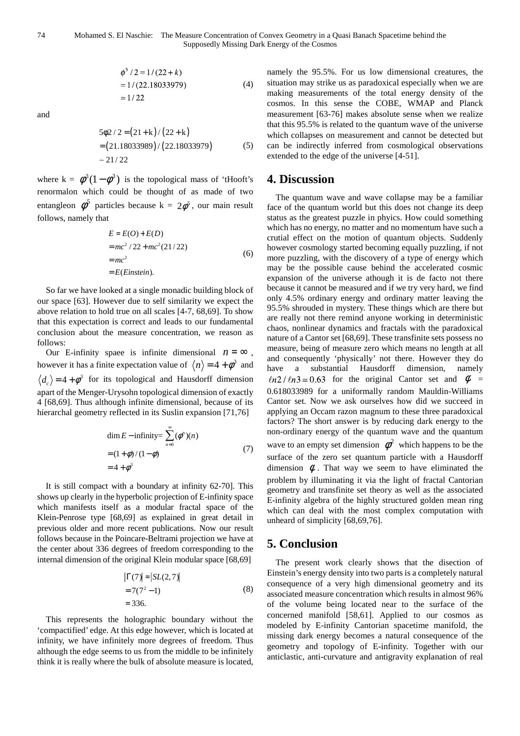$$
\begin{aligned}\n\phi^3 / 2 &= 1 / (22 + k) \\
&= 1 / (22.18033979) \\
&\approx 1 / 22\n\end{aligned} \tag{4}
$$

and

$$
5\phi2/2 = (21+k)/(22+k)
$$
  
= (21.18033989)/(22.18033979) (5)  
\sim 21/22

where  $k = \phi^3(1-\phi^3)$  is the topological mass of 'tHooft's renormalon which could be thought of as made of two entangleon  $\phi^5$  particles because k =  $2\phi^5$ , our main result follows, namely that

$$
E = E(O) + E(D)
$$
  
=  $mc^2 / 22 + mc^2 (21/22)$   
=  $mc^2$   
=  $E(Einstein)$ . (6)

So far we have looked at a single monadic building block of our space [63]. However due to self similarity we expect the above relation to hold true on all scales [4-7, 68,69]. To show that this expectation is correct and leads to our fundamental conclusion about the measure concentration, we reason as follows:

Our E-infinity space is infinite dimensional  $n = \infty$ , however it has a finite expectation value of  $\langle n \rangle = 4 + \phi^3$  and  $d_c$  = 4 +  $\phi$ <sup>3</sup> for its topological and Hausdorff dimension apart of the Menger-Urysohn topological dimension of exactly 4 [68,69]. Thus although infinite dimensional, because of its hierarchal geometry reflected in its Suslin expansion [71,76]

$$
\dim E - \text{infinity} = \sum_{n=0}^{\infty} (\phi^n)(n)
$$
  
=  $(1 + \phi) / (1 - \phi)$  (7)  
=  $4 + \phi^3$ 

It is still compact with a boundary at infinity 62-70]. This shows up clearly in the hyperbolic projection of E-infinity space which manifests itself as a modular fractal space of the Klein-Penrose type [68,69] as explained in great detail in previous older and more recent publications. Now our result follows because in the Poincare-Beltrami projection we have at the center about 336 degrees of freedom corresponding to the internal dimension of the original Klein modular space [68,69]

$$
|\Gamma(7)| = |SL(2,7)|
$$
  
= 7(7<sup>2</sup> - 1)  
= 336. (8)

This represents the holographic boundary without the 'compactified' edge. At this edge however, which is located at infinity, we have infinitely more degrees of freedom. Thus although the edge seems to us from the middle to be infinitely think it is really where the bulk of absolute measure is located, namely the 95.5%. For us low dimensional creatures, the situation may strike us as paradoxical especially when we are making measurements of the total energy density of the cosmos. In this sense the COBE, WMAP and Planck measurement [63-76] makes absolute sense when we realize that this 95.5% is related to the quantum wave of the universe which collapses on measurement and cannot be detected but can be indirectly inferred from cosmological observations extended to the edge of the universe [4-51].

## **4. Discussion**

The quantum wave and wave collapse may be a familiar face of the quantum world but this does not change its deep status as the greatest puzzle in phyics. How could something which has no energy, no matter and no momentum have such a crutial effect on the motion of quantum objects. Suddenly however cosmology started becoming equally puzzling, if not more puzzling, with the discovery of a type of energy which may be the possible cause behind the accelerated cosmic expansion of the universe athough it is de facto not there because it cannot be measured and if we try very hard, we find only 4.5% ordinary energy and ordinary matter leaving the 95.5% shrouded in mystery. These things which are there but are really not there remind anyone working in deterministic chaos, nonlinear dynamics and fractals with the paradoxical nature of a Cantor set [68,69]. These transfinite sets possess no measure, being of measure zero which means no length at all and consequently 'physically' not there. However they do have a substantial Hausdorff dimension, namely  $ln 2 / ln 3 \approx 0.63$  for the original Cantor set and  $\phi$  = 0.618033989 for a uniformally random Mauldin-Williams Cantor set. Now we ask ourselves how did we succeed in applying an Occam razon magnum to these three paradoxical factors? The short answer is by reducing dark energy to the non-ordinary energy of the quantum wave and the quantum wave to an empty set dimension  $\phi^2$  which happens to be the surface of the zero set quantum particle with a Hausdorff dimension  $\phi$ . That way we seem to have eliminated the problem by illuminating it via the light of fractal Cantorian geometry and transfinite set theory as well as the associated E-infinity algebra of the highly structured golden mean ring which can deal with the most complex computation with unheard of simplicity [68,69,76].

## **5. Conclusion**

The present work clearly shows that the disection of Einstein's energy density into two parts is a completely natural consequence of a very high dimensional geometry and its associated measure concentration which results in almost 96% of the volume being located near to the surface of the concerned manifold [58,61]. Applied to our cosmos as modeled by E-infinity Cantorian spacetime manifold, the missing dark energy becomes a natural consequence of the geometry and topology of E-infinity. Together with our anticlastic, anti-curvature and antigravity explanation of real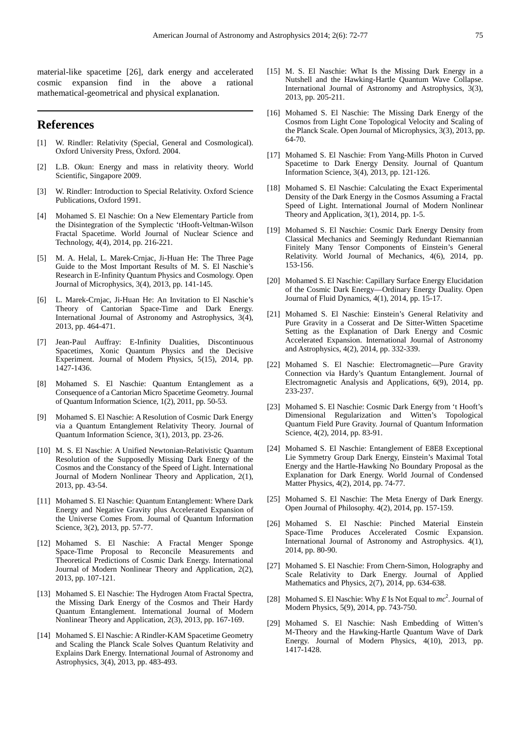material-like spacetime [26], dark energy and accelerated cosmic expansion find in the above a rational mathematical-geometrical and physical explanation.

#### **References**

- [1] W. Rindler: Relativity (Special, General and Cosmological). Oxford University Press, Oxford. 2004.
- [2] L.B. Okun: Energy and mass in relativity theory. World Scientific, Singapore 2009.
- [3] W. Rindler: Introduction to Special Relativity. Oxford Science Publications, Oxford 1991.
- [4] Mohamed S. El Naschie: On a New Elementary Particle from the Disintegration of the Symplectic 'tHooft-Veltman-Wilson Fractal Spacetime. World Journal of Nuclear Science and Technology, 4(4), 2014, pp. 216-221.
- [5] M. A. Helal, L. Marek-Crnjac, Ji-Huan He: The Three Page Guide to the Most Important Results of M. S. El Naschie's Research in E-Infinity Quantum Physics and Cosmology. Open Journal of Microphysics, 3(4), 2013, pp. 141-145.
- [6] L. Marek-Crnjac, Ji-Huan He: An Invitation to El Naschie's Theory of Cantorian Space-Time and Dark Energy. International Journal of Astronomy and Astrophysics, 3(4), 2013, pp. 464-471.
- [7] Jean-Paul Auffray: E-Infinity Dualities, Discontinuous Spacetimes, Xonic Quantum Physics and the Decisive Experiment. Journal of Modern Physics, 5(15), 2014, pp. 1427-1436.
- [8] Mohamed S. El Naschie: Quantum Entanglement as a Consequence of a Cantorian Micro Spacetime Geometry. Journal of Quantum Information Science, 1(2), 2011, pp. 50-53.
- [9] Mohamed S. El Naschie: A Resolution of Cosmic Dark Energy via a Quantum Entanglement Relativity Theory. Journal of Quantum Information Science, 3(1), 2013, pp. 23-26.
- [10] M. S. El Naschie: A Unified Newtonian-Relativistic Quantum Resolution of the Supposedly Missing Dark Energy of the Cosmos and the Constancy of the Speed of Light. International Journal of Modern Nonlinear Theory and Application, 2(1), 2013, pp. 43-54.
- [11] Mohamed S. El Naschie: Quantum Entanglement: Where Dark Energy and Negative Gravity plus Accelerated Expansion of the Universe Comes From. Journal of Quantum Information Science, 3(2), 2013, pp. 57-77.
- [12] Mohamed S. El Naschie: A Fractal Menger Sponge Space-Time Proposal to Reconcile Measurements and Theoretical Predictions of Cosmic Dark Energy. International Journal of Modern Nonlinear Theory and Application, 2(2), 2013, pp. 107-121.
- [13] Mohamed S. El Naschie: The Hydrogen Atom Fractal Spectra, the Missing Dark Energy of the Cosmos and Their Hardy Quantum Entanglement. International Journal of Modern Nonlinear Theory and Application, 2(3), 2013, pp. 167-169.
- [14] Mohamed S. El Naschie: A Rindler-KAM Spacetime Geometry and Scaling the Planck Scale Solves Quantum Relativity and Explains Dark Energy. International Journal of Astronomy and Astrophysics, 3(4), 2013, pp. 483-493.
- [15] M. S. El Naschie: What Is the Missing Dark Energy in a Nutshell and the Hawking-Hartle Quantum Wave Collapse. International Journal of Astronomy and Astrophysics, 3(3), 2013, pp. 205-211.
- [16] Mohamed S. El Naschie: The Missing Dark Energy of the Cosmos from Light Cone Topological Velocity and Scaling of the Planck Scale. Open Journal of Microphysics, 3(3), 2013, pp. 64-70.
- [17] Mohamed S. El Naschie: From Yang-Mills Photon in Curved Spacetime to Dark Energy Density. Journal of Quantum Information Science, 3(4), 2013, pp. 121-126.
- [18] Mohamed S. El Naschie: Calculating the Exact Experimental Density of the Dark Energy in the Cosmos Assuming a Fractal Speed of Light. International Journal of Modern Nonlinear Theory and Application, 3(1), 2014, pp. 1-5.
- [19] Mohamed S. El Naschie: Cosmic Dark Energy Density from Classical Mechanics and Seemingly Redundant Riemannian Finitely Many Tensor Components of Einstein's General Relativity. World Journal of Mechanics, 4(6), 2014, pp. 153-156.
- [20] Mohamed S. El Naschie: Capillary Surface Energy Elucidation of the Cosmic Dark Energy—Ordinary Energy Duality. Open Journal of Fluid Dynamics, 4(1), 2014, pp. 15-17.
- [21] Mohamed S. El Naschie: Einstein's General Relativity and Pure Gravity in a Cosserat and De Sitter-Witten Spacetime Setting as the Explanation of Dark Energy and Cosmic Accelerated Expansion. International Journal of Astronomy and Astrophysics, 4(2), 2014, pp. 332-339.
- [22] Mohamed S. El Naschie: Electromagnetic—Pure Gravity Connection via Hardy's Quantum Entanglement. Journal of Electromagnetic Analysis and Applications, 6(9), 2014, pp. 233-237.
- [23] Mohamed S. El Naschie: Cosmic Dark Energy from 't Hooft's Dimensional Regularization and Witten's Topological Quantum Field Pure Gravity. Journal of Quantum Information Science, 4(2), 2014, pp. 83-91.
- [24] Mohamed S. El Naschie: Entanglement of E8E8 Exceptional Lie Symmetry Group Dark Energy, Einstein's Maximal Total Energy and the Hartle-Hawking No Boundary Proposal as the Explanation for Dark Energy. World Journal of Condensed Matter Physics, 4(2), 2014, pp. 74-77.
- [25] Mohamed S. El Naschie: The Meta Energy of Dark Energy. Open Journal of Philosophy. 4(2), 2014, pp. 157-159.
- [26] Mohamed S. El Naschie: Pinched Material Einstein Space-Time Produces Accelerated Cosmic Expansion. International Journal of Astronomy and Astrophysics. 4(1), 2014, pp. 80-90.
- [27] Mohamed S. El Naschie: From Chern-Simon, Holography and Scale Relativity to Dark Energy. Journal of Applied Mathematics and Physics, 2(7), 2014, pp. 634-638.
- [28] Mohamed S. El Naschie: Why  $E$  Is Not Equal to  $mc^2$ . Journal of Modern Physics, 5(9), 2014, pp. 743-750.
- [29] Mohamed S. El Naschie: Nash Embedding of Witten's M-Theory and the Hawking-Hartle Quantum Wave of Dark Energy. Journal of Modern Physics, 4(10), 2013, pp. 1417-1428.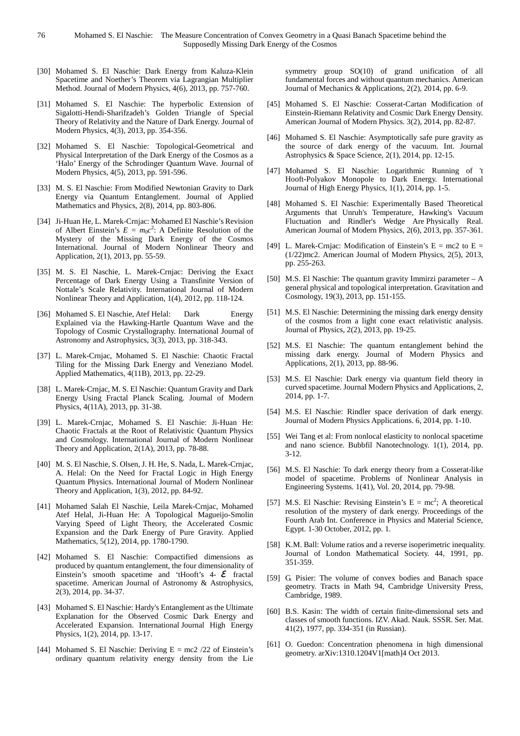- [30] Mohamed S. El Naschie: Dark Energy from Kaluza-Klein Spacetime and Noether's Theorem via Lagrangian Multiplier Method. Journal of Modern Physics, 4(6), 2013, pp. 757-760.
- [31] Mohamed S. El Naschie: The hyperbolic Extension of Sigalotti-Hendi-Sharifzadeh's Golden Triangle of Special Theory of Relativity and the Nature of Dark Energy. Journal of Modern Physics, 4(3), 2013, pp. 354-356.
- [32] Mohamed S. El Naschie: Topological-Geometrical and Physical Interpretation of the Dark Energy of the Cosmos as a 'Halo' Energy of the Schrodinger Quantum Wave. Journal of Modern Physics, 4(5), 2013, pp. 591-596.
- [33] M. S. El Naschie: From Modified Newtonian Gravity to Dark Energy via Quantum Entanglement. Journal of Applied Mathematics and Physics, 2(8), 2014, pp. 803-806.
- [34] Ji-Huan He, L. Marek-Crnjac: Mohamed El Naschie's Revision of Albert Einstein's  $E = m_0 c^2$ : A Definite Resolution of the Mystery of the Missing Dark Energy of the Cosmos International. Journal of Modern Nonlinear Theory and Application, 2(1), 2013, pp. 55-59.
- [35] M. S. El Naschie, L. Marek-Crnjac: Deriving the Exact Percentage of Dark Energy Using a Transfinite Version of Nottale's Scale Relativity. International Journal of Modern Nonlinear Theory and Application, 1(4), 2012, pp. 118-124.
- [36] Mohamed S. El Naschie, Atef Helal: Dark Energy Explained via the Hawking-Hartle Quantum Wave and the Topology of Cosmic Crystallography. International Journal of Astronomy and Astrophysics, 3(3), 2013, pp. 318-343.
- [37] L. Marek-Crnjac, Mohamed S. El Naschie: Chaotic Fractal Tiling for the Missing Dark Energy and Veneziano Model. Applied Mathematics, 4(11B), 2013, pp. 22-29.
- [38] L. Marek-Crnjac, M. S. El Naschie: Quantum Gravity and Dark Energy Using Fractal Planck Scaling. Journal of Modern Physics, 4(11A), 2013, pp. 31-38.
- [39] L. Marek-Crnjac, Mohamed S. El Naschie: Ji-Huan He: Chaotic Fractals at the Root of Relativistic Quantum Physics and Cosmology. International Journal of Modern Nonlinear Theory and Application, 2(1A), 2013, pp. 78-88.
- [40] M. S. El Naschie, S. Olsen, J. H. He, S. Nada, L. Marek-Crnjac, A. Helal: On the Need for Fractal Logic in High Energy Quantum Physics. International Journal of Modern Nonlinear Theory and Application, 1(3), 2012, pp. 84-92.
- [41] Mohamed Salah El Naschie, Leila Marek-Crnjac, Mohamed Atef Helal, Ji-Huan He: A Topological Magueijo-Smolin Varying Speed of Light Theory, the Accelerated Cosmic Expansion and the Dark Energy of Pure Gravity. Applied Mathematics, 5(12), 2014, pp. 1780-1790.
- [42] Mohamed S. El Naschie: Compactified dimensions as produced by quantum entanglement, the four dimensionality of Einstein's smooth spacetime and 'tHooft's  $4- \mathcal{E}$  fractal spacetime. American Journal of Astronomy & Astrophysics, 2(3), 2014, pp. 34-37.
- [43] Mohamed S. El Naschie: Hardy's Entanglement as the Ultimate Explanation for the Observed Cosmic Dark Energy and Accelerated Expansion. International Journal High Energy Physics, 1(2), 2014, pp. 13-17.
- [44] Mohamed S. El Naschie: Deriving  $E = mc2 / 22$  of Einstein's ordinary quantum relativity energy density from the Lie

symmetry group SO(10) of grand unification of all fundamental forces and without quantum mechanics. American Journal of Mechanics & Applications, 2(2), 2014, pp. 6-9.

- [45] Mohamed S. El Naschie: Cosserat-Cartan Modification of Einstein-Riemann Relativity and Cosmic Dark Energy Density. American Journal of Modern Physics. 3(2), 2014, pp. 82-87.
- [46] Mohamed S. El Naschie: Asymptotically safe pure gravity as the source of dark energy of the vacuum. Int. Journal Astrophysics & Space Science, 2(1), 2014, pp. 12-15.
- [47] Mohamed S. El Naschie: Logarithmic Running of 't Hooft-Polyakov Monopole to Dark Energy. International Journal of High Energy Physics, 1(1), 2014, pp. 1-5.
- [48] Mohamed S. El Naschie: Experimentally Based Theoretical Arguments that Unruh's Temperature, Hawking's Vacuum Fluctuation and Rindler's Wedge Are Physically Real. American Journal of Modern Physics, 2(6), 2013, pp. 357-361.
- [49] L. Marek-Crnjac: Modification of Einstein's  $E = mc^2$  to  $E =$ (1/22)mc2. American Journal of Modern Physics, 2(5), 2013, pp. 255-263.
- [50] M.S. El Naschie: The quantum gravity Immirzi parameter A general physical and topological interpretation. Gravitation and Cosmology, 19(3), 2013, pp. 151-155.
- [51] M.S. El Naschie: Determining the missing dark energy density of the cosmos from a light cone exact relativistic analysis. Journal of Physics, 2(2), 2013, pp. 19-25.
- [52] M.S. El Naschie: The quantum entanglement behind the missing dark energy. Journal of Modern Physics and Applications, 2(1), 2013, pp. 88-96.
- [53] M.S. El Naschie: Dark energy via quantum field theory in curved spacetime. Journal Modern Physics and Applications, 2, 2014, pp. 1-7.
- [54] M.S. El Naschie: Rindler space derivation of dark energy. Journal of Modern Physics Applications. 6, 2014, pp. 1-10.
- [55] Wei Tang et al: From nonlocal elasticity to nonlocal spacetime and nano science. Bubbfil Nanotechnology. 1(1), 2014, pp. 3-12.
- [56] M.S. El Naschie: To dark energy theory from a Cosserat-like model of spacetime. Problems of Nonlinear Analysis in Engineering Systems. 1(41), Vol. 20, 2014, pp. 79-98.
- [57] M.S. El Naschie: Revising Einstein's  $E = mc^2$ ; A theoretical resolution of the mystery of dark energy. Proceedings of the Fourth Arab Int. Conference in Physics and Material Science, Egypt. 1-30 October, 2012, pp. 1.
- [58] K.M. Ball: Volume ratios and a reverse isoperimetric inequality. Journal of London Mathematical Society. 44, 1991, pp. 351-359.
- [59] G. Pisier: The volume of convex bodies and Banach space geometry. Tracts in Math 94, Cambridge University Press, Cambridge, 1989.
- [60] B.S. Kasin: The width of certain finite-dimensional sets and classes of smooth functions. IZV. Akad. Nauk. SSSR. Ser. Mat. 41(2), 1977, pp. 334-351 (in Russian).
- [61] O. Guedon: Concentration phenomena in high dimensional geometry. arXiv:1310.1204V1[math]4 Oct 2013.